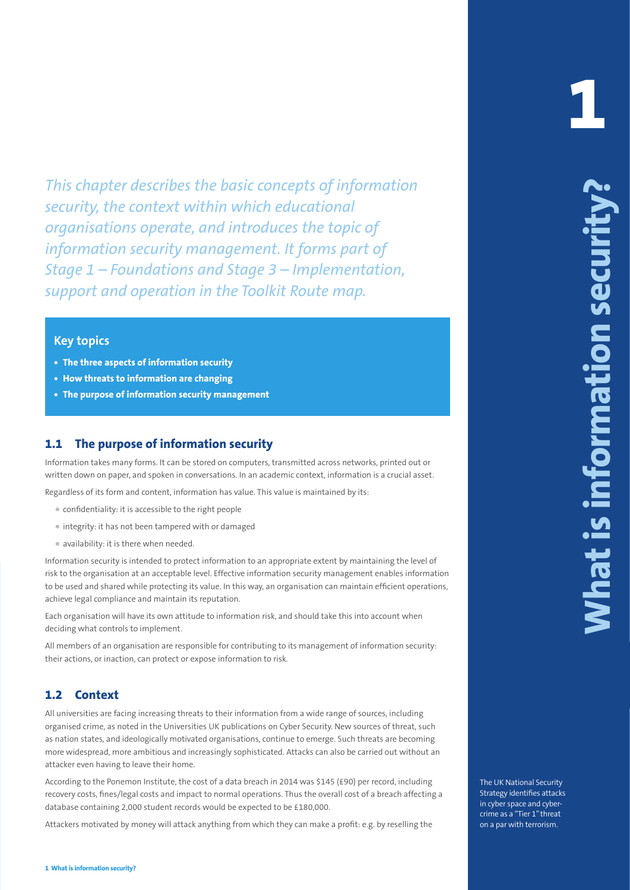This chapter describes the basis concepts of information<br>
constant in the strength of the strength of the strength of the strength of the strength of the strength of the strength of the strength of the strength of the str *This chapter describes the basic concepts of information security, the context within which educational organisations operate, and introduces the topic of information security management. It forms part of Stage 1 – Foundations and Stage 3 – Implementation, support and operation in the Toolkit Route map.*

#### **Key topics**

- **• The three aspects of information security**
- **• How threats to information are changing**
- **• The purpose of information security management**

## **1.1 The purpose of information security**

Information takes many forms. It can be stored on computers, transmitted across networks, printed out or written down on paper, and spoken in conversations. In an academic context, information is a crucial asset.

Regardless of its form and content, information has value. This value is maintained by its:

- confidentiality: it is accessible to the right people
- integrity: it has not been tampered with or damaged
- availability: it is there when needed.

Information security is intended to protect information to an appropriate extent by maintaining the level of risk to the organisation at an acceptable level. Effective information security management enables information to be used and shared while protecting its value. In this way, an organisation can maintain efficient operations, achieve legal compliance and maintain its reputation.

Each organisation will have its own attitude to information risk, and should take this into account when deciding what controls to implement.

All members of an organisation are responsible for contributing to its management of information security: their actions, or inaction, can protect or expose information to risk.

#### **1.2 Context**

All universities are facing increasing threats to their information from a wide range of sources, including organised crime, as noted in the Universities UK publications on Cyber Security. New sources of threat, such as nation states, and ideologically motivated organisations, continue to emerge. Such threats are becoming more widespread, more ambitious and increasingly sophisticated. Attacks can also be carried out without an attacker even having to leave their home.

According to the Ponemon Institute, the cost of a data breach in 2014 was \$145 (£90) per record, including recovery costs, fines/legal costs and impact to normal operations. Thus the overall cost of a breach affecting a database containing 2,000 student records would be expected to be £180,000.

Attackers motivated by money will attack anything from which they can make a profit: e.g. by reselling the

The UK National Security Strategy identifies attacks in cyber space and cybercrime as a "Tier 1" threat on a par with terrorism.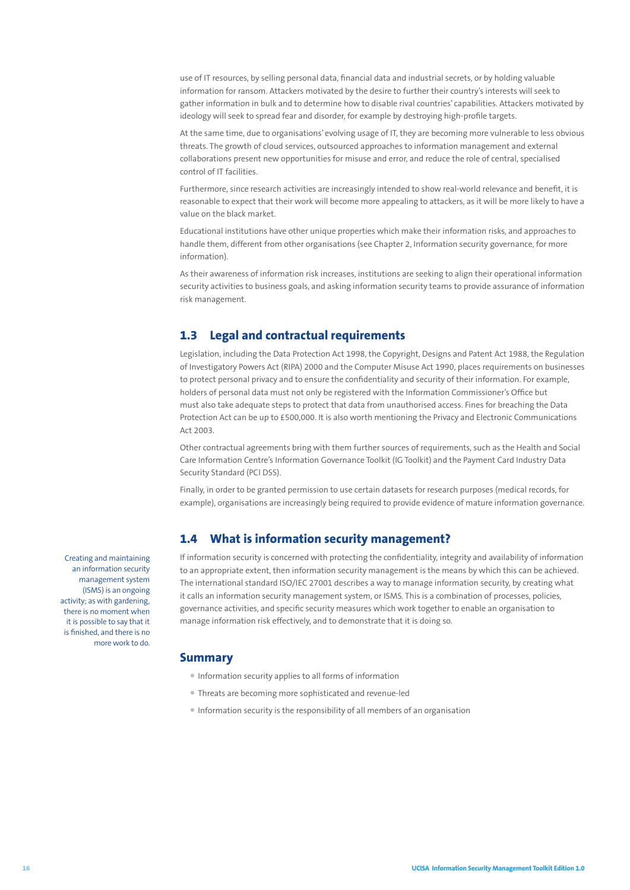use of IT resources, by selling personal data, financial data and industrial secrets, or by holding valuable information for ransom. Attackers motivated by the desire to further their country's interests will seek to gather information in bulk and to determine how to disable rival countries' capabilities. Attackers motivated by ideology will seek to spread fear and disorder, for example by destroying high-profile targets.

At the same time, due to organisations' evolving usage of IT, they are becoming more vulnerable to less obvious threats. The growth of cloud services, outsourced approaches to information management and external collaborations present new opportunities for misuse and error, and reduce the role of central, specialised control of IT facilities.

Furthermore, since research activities are increasingly intended to show real-world relevance and benefit, it is reasonable to expect that their work will become more appealing to attackers, as it will be more likely to have a value on the black market.

Educational institutions have other unique properties which make their information risks, and approaches to handle them, different from other organisations (see Chapter 2, Information security governance, for more information).

As their awareness of information risk increases, institutions are seeking to align their operational information security activities to business goals, and asking information security teams to provide assurance of information risk management.

# **1.3 Legal and contractual requirements**

Legislation, including the Data Protection Act 1998, the Copyright, Designs and Patent Act 1988, the Regulation of Investigatory Powers Act (RIPA) 2000 and the Computer Misuse Act 1990, places requirements on businesses to protect personal privacy and to ensure the confidentiality and security of their information. For example, holders of personal data must not only be registered with the Information Commissioner's Office but must also take adequate steps to protect that data from unauthorised access. Fines for breaching the Data Protection Act can be up to £500,000. It is also worth mentioning the Privacy and Electronic Communications Act 2003.

Other contractual agreements bring with them further sources of requirements, such as the Health and Social Care Information Centre's Information Governance Toolkit (IG Toolkit) and the Payment Card Industry Data Security Standard (PCI DSS).

Finally, in order to be granted permission to use certain datasets for research purposes (medical records, for example), organisations are increasingly being required to provide evidence of mature information governance.

### **1.4 What is information security management?**

If information security is concerned with protecting the confidentiality, integrity and availability of information to an appropriate extent, then information security management is the means by which this can be achieved. The international standard ISO/IEC 27001 describes a way to manage information security, by creating what it calls an information security management system, or ISMS. This is a combination of processes, policies, governance activities, and specific security measures which work together to enable an organisation to manage information risk effectively, and to demonstrate that it is doing so.

#### **Summary**

- Information security applies to all forms of information
- Threats are becoming more sophisticated and revenue-led
- Information security is the responsibility of all members of an organisation

Creating and maintaining an information security management system (ISMS) is an ongoing activity; as with gardening, there is no moment when it is possible to say that it is finished, and there is no more work to do.